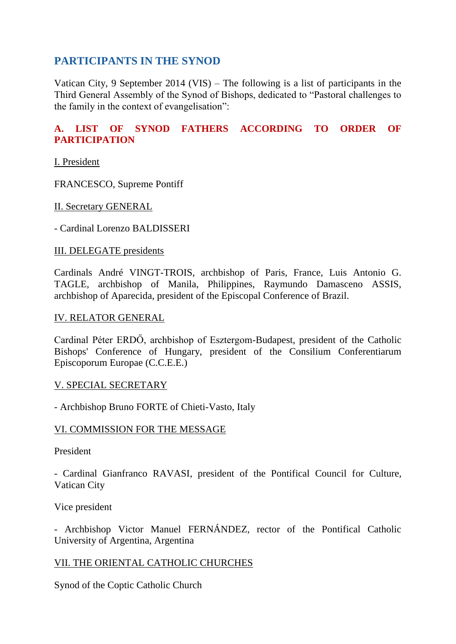# **PARTICIPANTS IN THE SYNOD**

Vatican City, 9 September 2014 (VIS) – The following is a list of participants in the Third General Assembly of the Synod of Bishops, dedicated to "Pastoral challenges to the family in the context of evangelisation":

## **A. LIST OF SYNOD FATHERS ACCORDING TO ORDER OF PARTICIPATION**

I. President

FRANCESCO, Supreme Pontiff

II. Secretary GENERAL

- Cardinal Lorenzo BALDISSERI

#### III. DELEGATE presidents

Cardinals André VINGT-TROIS, archbishop of Paris, France, Luis Antonio G. TAGLE, archbishop of Manila, Philippines, Raymundo Damasceno ASSIS, archbishop of Aparecida, president of the Episcopal Conference of Brazil.

#### IV. RELATOR GENERAL

Cardinal Péter ERDŐ, archbishop of Esztergom-Budapest, president of the Catholic Bishops' Conference of Hungary, president of the Consilium Conferentiarum Episcoporum Europae (C.C.E.E.)

#### V. SPECIAL SECRETARY

- Archbishop Bruno FORTE of Chieti-Vasto, Italy

### VI. COMMISSION FOR THE MESSAGE

President

- Cardinal Gianfranco RAVASI, president of the Pontifical Council for Culture, Vatican City

Vice president

- Archbishop Victor Manuel FERNÁNDEZ, rector of the Pontifical Catholic University of Argentina, Argentina

### VII. THE ORIENTAL CATHOLIC CHURCHES

Synod of the Coptic Catholic Church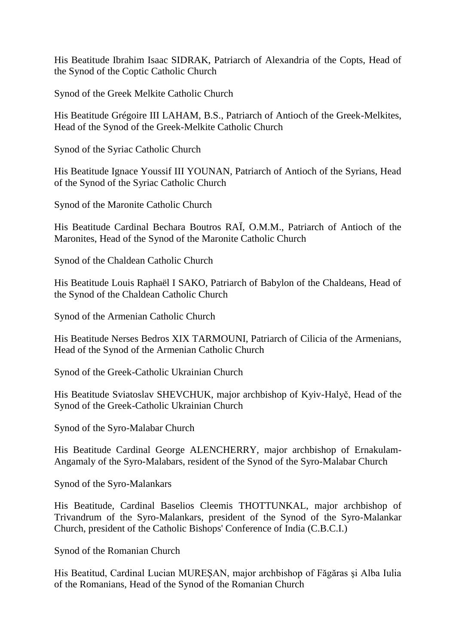His Beatitude Ibrahim Isaac SIDRAK, Patriarch of Alexandria of the Copts, Head of the Synod of the Coptic Catholic Church

Synod of the Greek Melkite Catholic Church

His Beatitude Grégoire III LAHAM, B.S., Patriarch of Antioch of the Greek-Melkites, Head of the Synod of the Greek-Melkite Catholic Church

Synod of the Syriac Catholic Church

His Beatitude Ignace Youssif III YOUNAN, Patriarch of Antioch of the Syrians, Head of the Synod of the Syriac Catholic Church

Synod of the Maronite Catholic Church

His Beatitude Cardinal Bechara Boutros RAÏ, O.M.M., Patriarch of Antioch of the Maronites, Head of the Synod of the Maronite Catholic Church

Synod of the Chaldean Catholic Church

His Beatitude Louis Raphaël I SAKO, Patriarch of Babylon of the Chaldeans, Head of the Synod of the Chaldean Catholic Church

Synod of the Armenian Catholic Church

His Beatitude Nerses Bedros XIX TARMOUNI, Patriarch of Cilicia of the Armenians, Head of the Synod of the Armenian Catholic Church

Synod of the Greek-Catholic Ukrainian Church

His Beatitude Sviatoslav SHEVCHUK, major archbishop of Kyiv-Halyč, Head of the Synod of the Greek-Catholic Ukrainian Church

Synod of the Syro-Malabar Church

His Beatitude Cardinal George ALENCHERRY, major archbishop of Ernakulam-Angamaly of the Syro-Malabars, resident of the Synod of the Syro-Malabar Church

Synod of the Syro-Malankars

His Beatitude, Cardinal Baselios Cleemis THOTTUNKAL, major archbishop of Trivandrum of the Syro-Malankars, president of the Synod of the Syro-Malankar Church, president of the Catholic Bishops' Conference of India (C.B.C.I.)

Synod of the Romanian Church

His Beatitud, Cardinal Lucian MUREŞAN, major archbishop of Făgăras şi Alba Iulia of the Romanians, Head of the Synod of the Romanian Church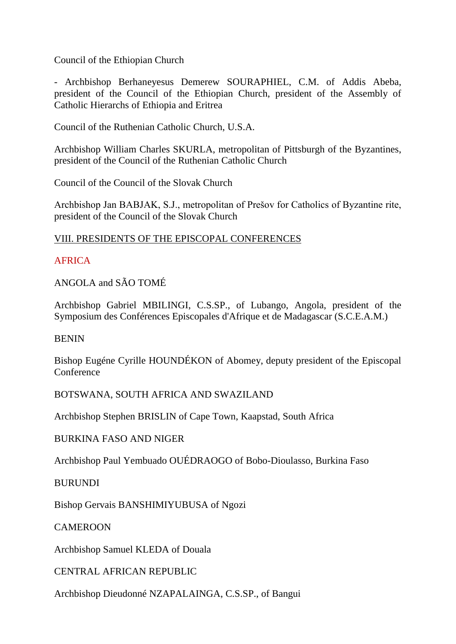Council of the Ethiopian Church

- Archbishop Berhaneyesus Demerew SOURAPHIEL, C.M. of Addis Abeba, president of the Council of the Ethiopian Church, president of the Assembly of Catholic Hierarchs of Ethiopia and Eritrea

Council of the Ruthenian Catholic Church, U.S.A.

Archbishop William Charles SKURLA, metropolitan of Pittsburgh of the Byzantines, president of the Council of the Ruthenian Catholic Church

Council of the Council of the Slovak Church

Archbishop Jan BABJAK, S.J., metropolitan of Prešov for Catholics of Byzantine rite, president of the Council of the Slovak Church

#### VIII. PRESIDENTS OF THE EPISCOPAL CONFERENCES

### AFRICA

ANGOLA and SÃO TOMÉ

Archbishop Gabriel MBILINGI, C.S.SP., of Lubango, Angola, president of the Symposium des Conférences Episcopales d'Afrique et de Madagascar (S.C.E.A.M.)

BENIN

Bishop Eugéne Cyrille HOUNDÉKON of Abomey, deputy president of the Episcopal **Conference** 

BOTSWANA, SOUTH AFRICA AND SWAZILAND

Archbishop Stephen BRISLIN of Cape Town, Kaapstad, South Africa

BURKINA FASO AND NIGER

Archbishop Paul Yembuado OUÉDRAOGO of Bobo-Dioulasso, Burkina Faso

BURUNDI

Bishop Gervais BANSHIMIYUBUSA of Ngozi

CAMEROON

Archbishop Samuel KLEDA of Douala

CENTRAL AFRICAN REPUBLIC

Archbishop Dieudonné NZAPALAINGA, C.S.SP., of Bangui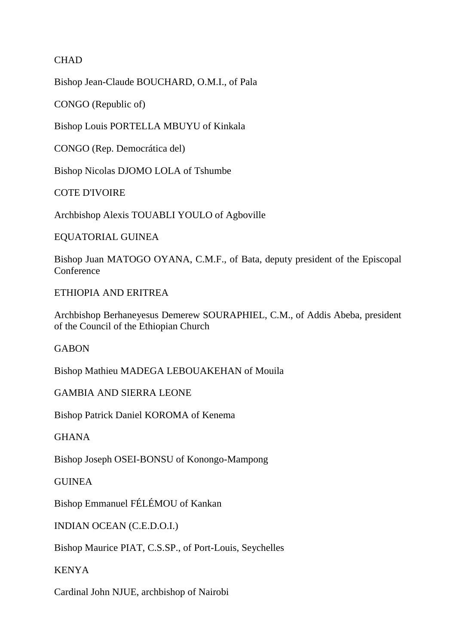### **CHAD**

Bishop Jean-Claude BOUCHARD, O.M.I., of Pala

CONGO (Republic of)

Bishop Louis PORTELLA MBUYU of Kinkala

CONGO (Rep. Democrática del)

Bishop Nicolas DJOMO LOLA of Tshumbe

COTE D'IVOIRE

Archbishop Alexis TOUABLI YOULO of Agboville

EQUATORIAL GUINEA

Bishop Juan MATOGO OYANA, C.M.F., of Bata, deputy president of the Episcopal **Conference** 

ETHIOPIA AND ERITREA

Archbishop Berhaneyesus Demerew SOURAPHIEL, C.M., of Addis Abeba, president of the Council of the Ethiopian Church

GABON

Bishop Mathieu MADEGA LEBOUAKEHAN of Mouila

GAMBIA AND SIERRA LEONE

Bishop Patrick Daniel KOROMA of Kenema

**GHANA** 

Bishop Joseph OSEI-BONSU of Konongo-Mampong

**GUINEA** 

Bishop Emmanuel FÉLÉMOU of Kankan

INDIAN OCEAN (C.E.D.O.I.)

Bishop Maurice PIAT, C.S.SP., of Port-Louis, Seychelles

KENYA

Cardinal John NJUE, archbishop of Nairobi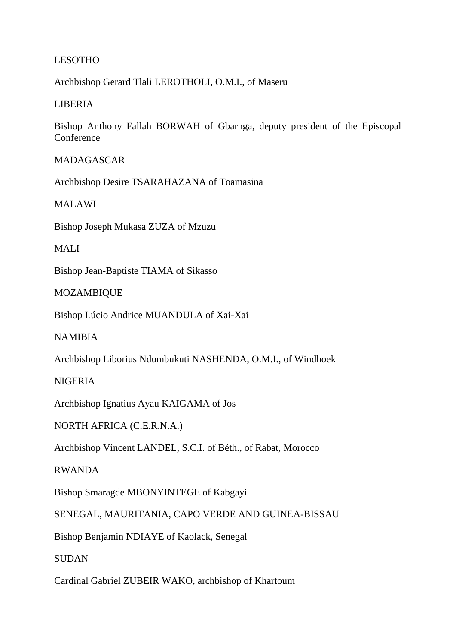### LESOTHO

Archbishop Gerard Tlali LEROTHOLI, O.M.I., of Maseru

#### LIBERIA

Bishop Anthony Fallah BORWAH of Gbarnga, deputy president of the Episcopal **Conference** 

#### MADAGASCAR

Archbishop Desire TSARAHAZANA of Toamasina

MALAWI

Bishop Joseph Mukasa ZUZA of Mzuzu

MALI

Bishop Jean-Baptiste TIAMA of Sikasso

#### MOZAMBIQUE

Bishop Lúcio Andrice MUANDULA of Xai-Xai

NAMIBIA

Archbishop Liborius Ndumbukuti NASHENDA, O.M.I., of Windhoek

#### NIGERIA

Archbishop Ignatius Ayau KAIGAMA of Jos

NORTH AFRICA (C.E.R.N.A.)

Archbishop Vincent LANDEL, S.C.I. of Béth., of Rabat, Morocco

RWANDA

Bishop Smaragde MBONYINTEGE of Kabgayi

SENEGAL, MAURITANIA, CAPO VERDE AND GUINEA-BISSAU

Bishop Benjamin NDIAYE of Kaolack, Senegal

SUDAN

Cardinal Gabriel ZUBEIR WAKO, archbishop of Khartoum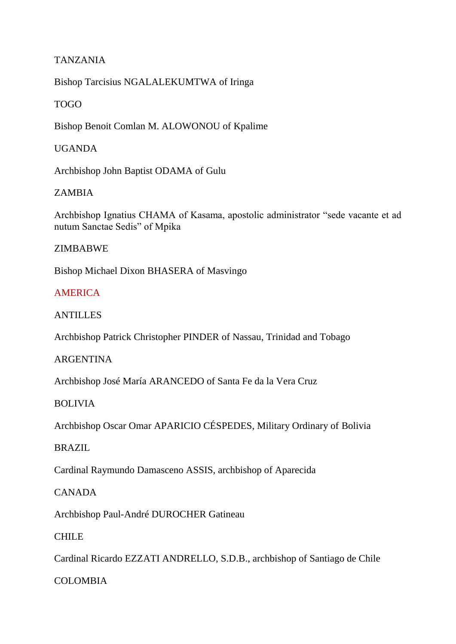## TANZANIA

Bishop Tarcisius NGALALEKUMTWA of Iringa

## TOGO

Bishop Benoit Comlan M. ALOWONOU of Kpalime

### UGANDA

Archbishop John Baptist ODAMA of Gulu

## ZAMBIA

Archbishop Ignatius CHAMA of Kasama, apostolic administrator "sede vacante et ad nutum Sanctae Sedis" of Mpika

### ZIMBABWE

Bishop Michael Dixon BHASERA of Masvingo

## **AMERICA**

## ANTILLES

Archbishop Patrick Christopher PINDER of Nassau, Trinidad and Tobago

### ARGENTINA

Archbishop José María ARANCEDO of Santa Fe da la Vera Cruz

### BOLIVIA

Archbishop Oscar Omar APARICIO CÉSPEDES, Military Ordinary of Bolivia

# BRAZIL

Cardinal Raymundo Damasceno ASSIS, archbishop of Aparecida

### CANADA

Archbishop Paul-André DUROCHER Gatineau

### **CHILE**

Cardinal Ricardo EZZATI ANDRELLO, S.D.B., archbishop of Santiago de Chile

# COLOMBIA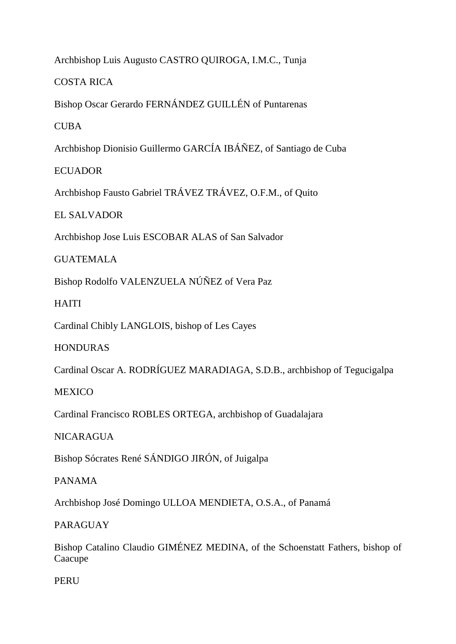Archbishop Luis Augusto CASTRO QUIROGA, I.M.C., Tunja

COSTA RICA

Bishop Oscar Gerardo FERNÁNDEZ GUILLÉN of Puntarenas

CUBA

Archbishop Dionisio Guillermo GARCÍA IBÁÑEZ, of Santiago de Cuba

**ECUADOR** 

Archbishop Fausto Gabriel TRÁVEZ TRÁVEZ, O.F.M., of Quito

EL SALVADOR

Archbishop Jose Luis ESCOBAR ALAS of San Salvador

GUATEMALA

Bishop Rodolfo VALENZUELA NÚÑEZ of Vera Paz

HAITI

Cardinal Chibly LANGLOIS, bishop of Les Cayes

HONDURAS

Cardinal Oscar A. RODRÍGUEZ MARADIAGA, S.D.B., archbishop of Tegucigalpa

**MEXICO** 

Cardinal Francisco ROBLES ORTEGA, archbishop of Guadalajara

**NICARAGUA** 

Bishop Sócrates René SÁNDIGO JIRÓN, of Juigalpa

PANAMA

Archbishop José Domingo ULLOA MENDIETA, O.S.A., of Panamá

PARAGUAY

Bishop Catalino Claudio GIMÉNEZ MEDINA, of the Schoenstatt Fathers, bishop of Caacupe

**PERU**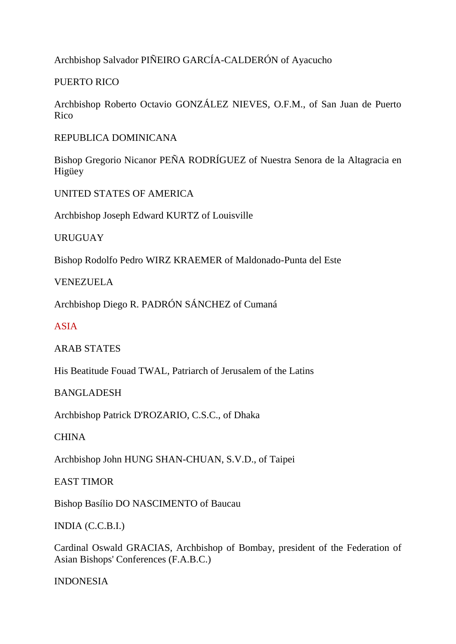Archbishop Salvador PIÑEIRO GARCÍA-CALDERÓN of Ayacucho

PUERTO RICO

Archbishop Roberto Octavio GONZÁLEZ NIEVES, O.F.M., of San Juan de Puerto Rico

REPUBLICA DOMINICANA

Bishop Gregorio Nicanor PEÑA RODRÍGUEZ of Nuestra Senora de la Altagracia en Higüey

UNITED STATES OF AMERICA

Archbishop Joseph Edward KURTZ of Louisville

URUGUAY

Bishop Rodolfo Pedro WIRZ KRAEMER of Maldonado-Punta del Este

VENEZUELA

Archbishop Diego R. PADRÓN SÁNCHEZ of Cumaná

ASIA

ARAB STATES

His Beatitude Fouad TWAL, Patriarch of Jerusalem of the Latins

BANGLADESH

Archbishop Patrick D'ROZARIO, C.S.C., of Dhaka

**CHINA** 

Archbishop John HUNG SHAN-CHUAN, S.V.D., of Taipei

EAST TIMOR

Bishop Basílio DO NASCIMENTO of Baucau

INDIA (C.C.B.I.)

Cardinal Oswald GRACIAS, Archbishop of Bombay, president of the Federation of Asian Bishops' Conferences (F.A.B.C.)

INDONESIA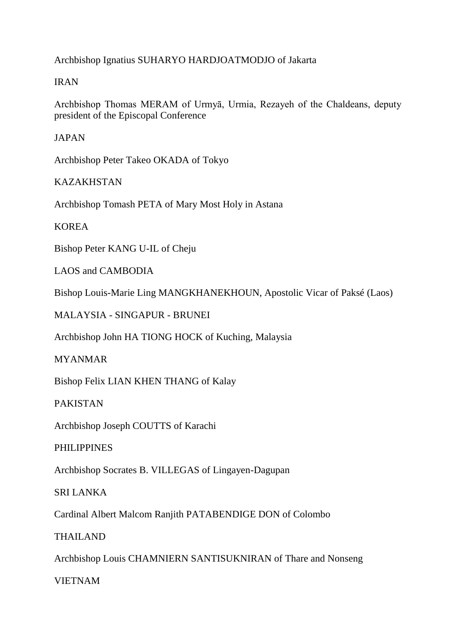Archbishop Ignatius SUHARYO HARDJOATMODJO of Jakarta

## IRAN

Archbishop Thomas MERAM of Urmyā, Urmia, Rezayeh of the Chaldeans, deputy president of the Episcopal Conference

JAPAN

Archbishop Peter Takeo OKADA of Tokyo

KAZAKHSTAN

Archbishop Tomash PETA of Mary Most Holy in Astana

**KOREA** 

Bishop Peter KANG U-IL of Cheju

LAOS and CAMBODIA

Bishop Louis-Marie Ling MANGKHANEKHOUN, Apostolic Vicar of Paksé (Laos)

MALAYSIA - SINGAPUR - BRUNEI

Archbishop John HA TIONG HOCK of Kuching, Malaysia

MYANMAR

Bishop Felix LIAN KHEN THANG of Kalay

PAKISTAN

Archbishop Joseph COUTTS of Karachi

PHILIPPINES

Archbishop Socrates B. VILLEGAS of Lingayen-Dagupan

SRI LANKA

Cardinal Albert Malcom Ranjith PATABENDIGE DON of Colombo

THAILAND

Archbishop Louis CHAMNIERN SANTISUKNIRAN of Thare and Nonseng

VIETNAM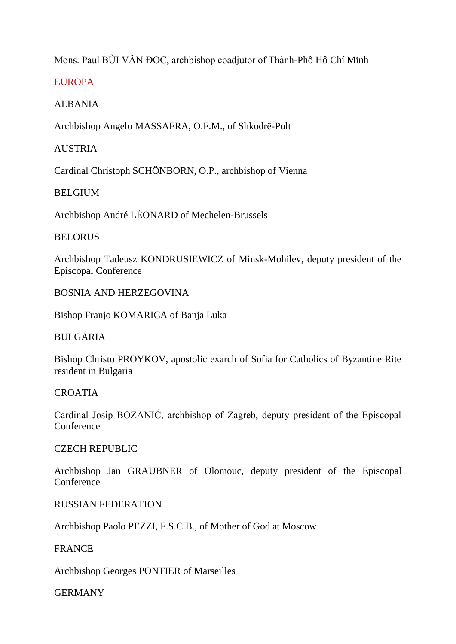# Mons. Paul BÙI VĂN ĐOC, archbishop coadjutor of Thành-Phô Hô Chí Minh

## **EUROPA**

## ALBANIA

Archbishop Angelo MASSAFRA, O.F.M., of Shkodrë-Pult

### AUSTRIA

Cardinal Christoph SCHÖNBORN, O.P., archbishop of Vienna

## BELGIUM

Archbishop André LÉONARD of Mechelen-Brussels

### **BELORUS**

Archbishop Tadeusz KONDRUSIEWICZ of Minsk-Mohilev, deputy president of the Episcopal Conference

### BOSNIA AND HERZEGOVINA

Bishop Franjo KOMARICA of Banja Luka

### BULGARIA

Bishop Christo PROYKOV, apostolic exarch of Sofia for Catholics of Byzantine Rite resident in Bulgaria

### **CROATIA**

Cardinal Josip BOZANIĆ, archbishop of Zagreb, deputy president of the Episcopal Conference

### CZECH REPUBLIC

Archbishop Jan GRAUBNER of Olomouc, deputy president of the Episcopal **Conference** 

### RUSSIAN FEDERATION

Archbishop Paolo PEZZI, F.S.C.B., of Mother of God at Moscow

### FRANCE

Archbishop Georges PONTIER of Marseilles

GERMANY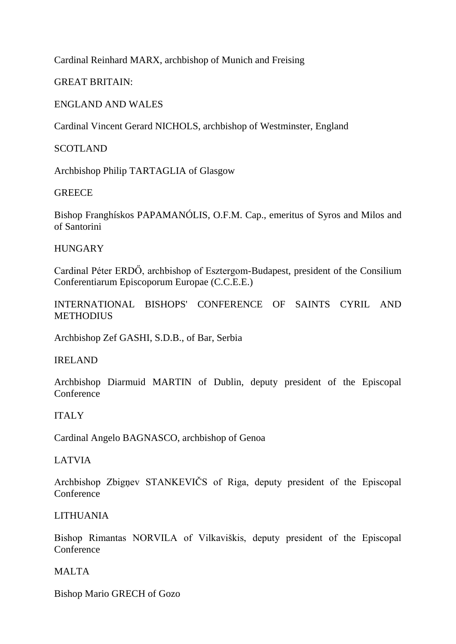Cardinal Reinhard MARX, archbishop of Munich and Freising

GREAT BRITAIN:

## ENGLAND AND WALES

Cardinal Vincent Gerard NICHOLS, archbishop of Westminster, England

**SCOTLAND** 

Archbishop Philip TARTAGLIA of Glasgow

### **GREECE**

Bishop Franghískos PAPAMANÓLIS, O.F.M. Cap., emeritus of Syros and Milos and of Santorini

### **HUNGARY**

Cardinal Péter ERDŐ, archbishop of Esztergom-Budapest, president of the Consilium Conferentiarum Episcoporum Europae (C.C.E.E.)

INTERNATIONAL BISHOPS' CONFERENCE OF SAINTS CYRIL AND **METHODIUS** 

Archbishop Zef GASHI, S.D.B., of Bar, Serbia

### IRELAND

Archbishop Diarmuid MARTIN of Dublin, deputy president of the Episcopal **Conference** 

### ITALY

Cardinal Angelo BAGNASCO, archbishop of Genoa

### LATVIA

Archbishop Zbigņev STANKEVIČS of Riga, deputy president of the Episcopal **Conference** 

### LITHUANIA

Bishop Rimantas NORVILA of Vilkaviškis, deputy president of the Episcopal Conference

### MALTA

Bishop Mario GRECH of Gozo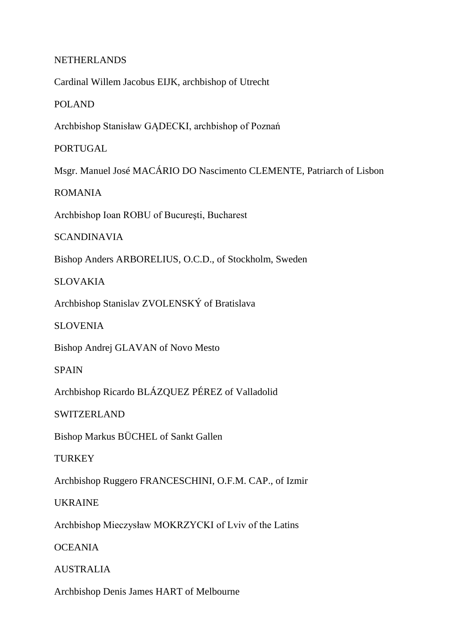#### NETHERLANDS

Cardinal Willem Jacobus EIJK, archbishop of Utrecht

POLAND

Archbishop Stanisław GĄDECKI, archbishop of Poznań

PORTUGAL

Msgr. Manuel José MACÁRIO DO Nascimento CLEMENTE, Patriarch of Lisbon

ROMANIA

Archbishop Ioan ROBU of Bucureşti, Bucharest

SCANDINAVIA

Bishop Anders ARBORELIUS, O.C.D., of Stockholm, Sweden

SLOVAKIA

Archbishop Stanislav ZVOLENSKÝ of Bratislava

SLOVENIA

Bishop Andrej GLAVAN of Novo Mesto

SPAIN

Archbishop Ricardo BLÁZQUEZ PÉREZ of Valladolid

SWITZERLAND

Bishop Markus BÜCHEL of Sankt Gallen

**TURKEY** 

Archbishop Ruggero FRANCESCHINI, O.F.M. CAP., of Izmir

UKRAINE

Archbishop Mieczysław MOKRZYCKI of Lviv of the Latins

**OCEANIA** 

AUSTRALIA

Archbishop Denis James HART of Melbourne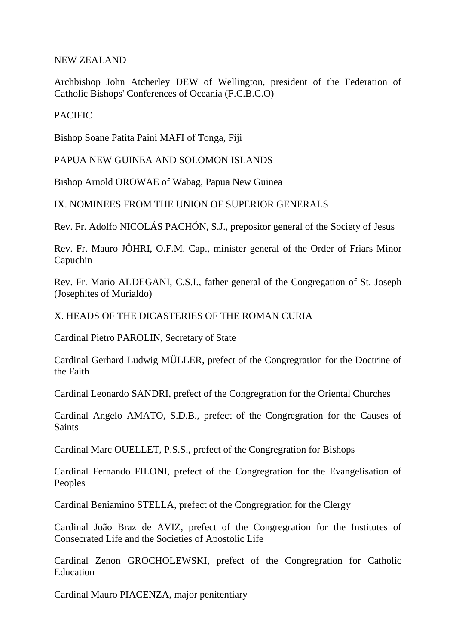NEW ZEALAND

Archbishop John Atcherley DEW of Wellington, president of the Federation of Catholic Bishops' Conferences of Oceania (F.C.B.C.O)

### **PACIFIC**

Bishop Soane Patita Paini MAFI of Tonga, Fiji

PAPUA NEW GUINEA AND SOLOMON ISLANDS

Bishop Arnold OROWAE of Wabag, Papua New Guinea

IX. NOMINEES FROM THE UNION OF SUPERIOR GENERALS

Rev. Fr. Adolfo NICOLÁS PACHÓN, S.J., prepositor general of the Society of Jesus

Rev. Fr. Mauro JÖHRI, O.F.M. Cap., minister general of the Order of Friars Minor Capuchin

Rev. Fr. Mario ALDEGANI, C.S.I., father general of the Congregation of St. Joseph (Josephites of Murialdo)

X. HEADS OF THE DICASTERIES OF THE ROMAN CURIA

Cardinal Pietro PAROLIN, Secretary of State

Cardinal Gerhard Ludwig MÜLLER, prefect of the Congregration for the Doctrine of the Faith

Cardinal Leonardo SANDRI, prefect of the Congregration for the Oriental Churches

Cardinal Angelo AMATO, S.D.B., prefect of the Congregration for the Causes of **Saints** 

Cardinal Marc OUELLET, P.S.S., prefect of the Congregration for Bishops

Cardinal Fernando FILONI, prefect of the Congregration for the Evangelisation of Peoples

Cardinal Beniamino STELLA, prefect of the Congregration for the Clergy

Cardinal João Braz de AVIZ, prefect of the Congregration for the Institutes of Consecrated Life and the Societies of Apostolic Life

Cardinal Zenon GROCHOLEWSKI, prefect of the Congregration for Catholic Education

Cardinal Mauro PIACENZA, major penitentiary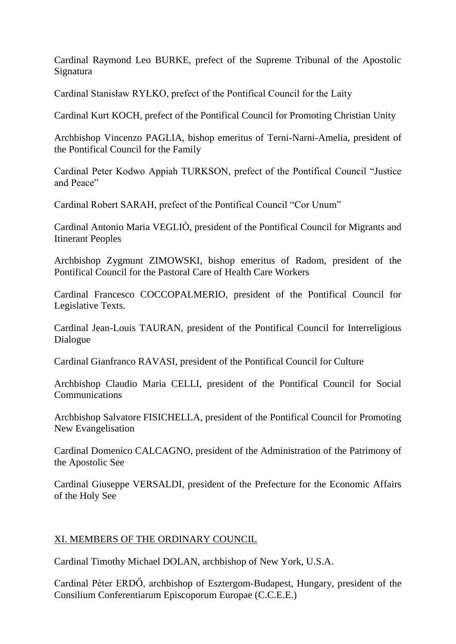Cardinal Raymond Leo BURKE, prefect of the Supreme Tribunal of the Apostolic Signatura

Cardinal Stanisław RYŁKO, prefect of the Pontifical Council for the Laity

Cardinal Kurt KOCH, prefect of the Pontifical Council for Promoting Christian Unity

Archbishop Vincenzo PAGLIA, bishop emeritus of Terni-Narni-Amelia, president of the Pontifical Council for the Family

Cardinal Peter Kodwo Appiah TURKSON, prefect of the Pontifical Council "Justice and Peace"

Cardinal Robert SARAH, prefect of the Pontifical Council "Cor Unum"

Cardinal Antonio Maria VEGLIÒ, president of the Pontifical Council for Migrants and Itinerant Peoples

Archbishop Zygmunt ZIMOWSKI, bishop emeritus of Radom, president of the Pontifical Council for the Pastoral Care of Health Care Workers

Cardinal Francesco COCCOPALMERIO, president of the Pontifical Council for Legislative Texts.

Cardinal Jean-Louis TAURAN, president of the Pontifical Council for Interreligious Dialogue

Cardinal Gianfranco RAVASI, president of the Pontifical Council for Culture

Archbishop Claudio Maria CELLI, president of the Pontifical Council for Social Communications

Archbishop Salvatore FISICHELLA, president of the Pontifical Council for Promoting New Evangelisation

Cardinal Domenico CALCAGNO, president of the Administration of the Patrimony of the Apostolic See

Cardinal Giuseppe VERSALDI, president of the Prefecture for the Economic Affairs of the Holy See

# XI. MEMBERS OF THE ORDINARY COUNCIL

Cardinal Timothy Michael DOLAN, archbishop of New York, U.S.A.

Cardinal Péter ERDŐ, archbishop of Esztergom-Budapest, Hungary, president of the Consilium Conferentiarum Episcoporum Europae (C.C.E.E.)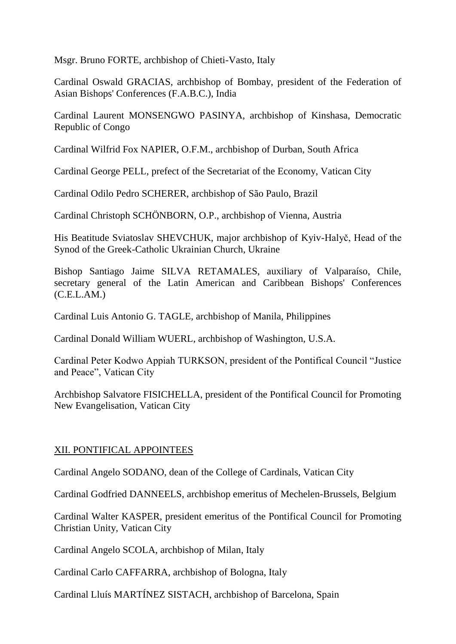Msgr. Bruno FORTE, archbishop of Chieti-Vasto, Italy

Cardinal Oswald GRACIAS, archbishop of Bombay, president of the Federation of Asian Bishops' Conferences (F.A.B.C.), India

Cardinal Laurent MONSENGWO PASINYA, archbishop of Kinshasa, Democratic Republic of Congo

Cardinal Wilfrid Fox NAPIER, O.F.M., archbishop of Durban, South Africa

Cardinal George PELL, prefect of the Secretariat of the Economy, Vatican City

Cardinal Odilo Pedro SCHERER, archbishop of São Paulo, Brazil

Cardinal Christoph SCHÖNBORN, O.P., archbishop of Vienna, Austria

His Beatitude Sviatoslav SHEVCHUK, major archbishop of Kyiv-Halyč, Head of the Synod of the Greek-Catholic Ukrainian Church, Ukraine

Bishop Santiago Jaime SILVA RETAMALES, auxiliary of Valparaíso, Chile, secretary general of the Latin American and Caribbean Bishops' Conferences (C.E.L.AM.)

Cardinal Luis Antonio G. TAGLE, archbishop of Manila, Philippines

Cardinal Donald William WUERL, archbishop of Washington, U.S.A.

Cardinal Peter Kodwo Appiah TURKSON, president of the Pontifical Council "Justice and Peace", Vatican City

Archbishop Salvatore FISICHELLA, president of the Pontifical Council for Promoting New Evangelisation, Vatican City

### XII. PONTIFICAL APPOINTEES

Cardinal Angelo SODANO, dean of the College of Cardinals, Vatican City

Cardinal Godfried DANNEELS, archbishop emeritus of Mechelen-Brussels, Belgium

Cardinal Walter KASPER, president emeritus of the Pontifical Council for Promoting Christian Unity, Vatican City

Cardinal Angelo SCOLA, archbishop of Milan, Italy

Cardinal Carlo CAFFARRA, archbishop of Bologna, Italy

Cardinal Lluís MARTÍNEZ SISTACH, archbishop of Barcelona, Spain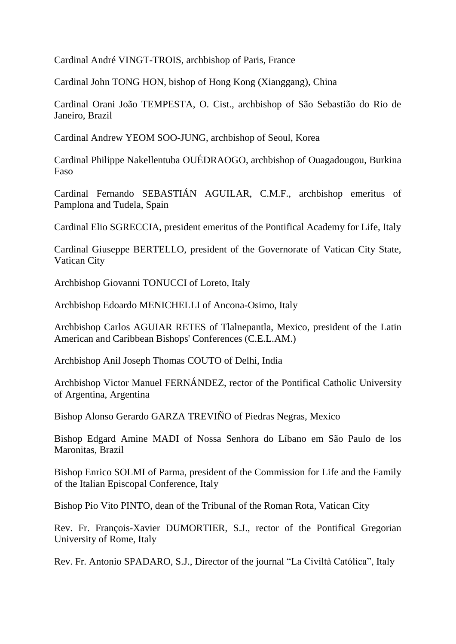Cardinal André VINGT-TROIS, archbishop of Paris, France

Cardinal John TONG HON, bishop of Hong Kong (Xianggang), China

Cardinal Orani João TEMPESTA, O. Cist., archbishop of São Sebastião do Rio de Janeiro, Brazil

Cardinal Andrew YEOM SOO-JUNG, archbishop of Seoul, Korea

Cardinal Philippe Nakellentuba OUÉDRAOGO, archbishop of Ouagadougou, Burkina Faso

Cardinal Fernando SEBASTIÁN AGUILAR, C.M.F., archbishop emeritus of Pamplona and Tudela, Spain

Cardinal Elio SGRECCIA, president emeritus of the Pontifical Academy for Life, Italy

Cardinal Giuseppe BERTELLO, president of the Governorate of Vatican City State, Vatican City

Archbishop Giovanni TONUCCI of Loreto, Italy

Archbishop Edoardo MENICHELLI of Ancona-Osimo, Italy

Archbishop Carlos AGUIAR RETES of Tlalnepantla, Mexico, president of the Latin American and Caribbean Bishops' Conferences (C.E.L.AM.)

Archbishop Anil Joseph Thomas COUTO of Delhi, India

Archbishop Victor Manuel FERNÁNDEZ, rector of the Pontifical Catholic University of Argentina, Argentina

Bishop Alonso Gerardo GARZA TREVIÑO of Piedras Negras, Mexico

Bishop Edgard Amine MADI of Nossa Senhora do Líbano em São Paulo de los Maronitas, Brazil

Bishop Enrico SOLMI of Parma, president of the Commission for Life and the Family of the Italian Episcopal Conference, Italy

Bishop Pio Vito PINTO, dean of the Tribunal of the Roman Rota, Vatican City

Rev. Fr. François-Xavier DUMORTIER, S.J., rector of the Pontifical Gregorian University of Rome, Italy

Rev. Fr. Antonio SPADARO, S.J., Director of the journal "La Civiltà Católica", Italy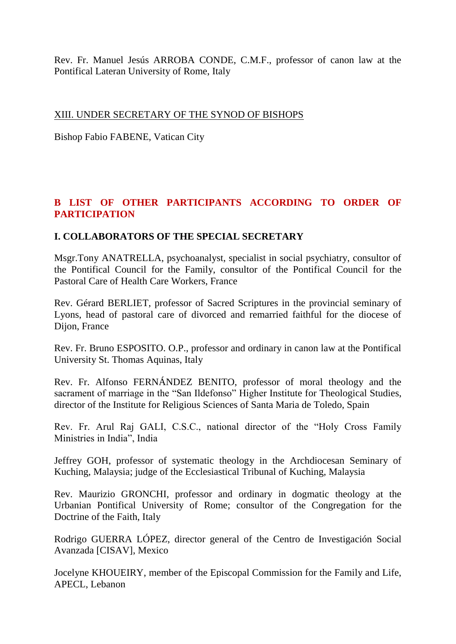Rev. Fr. Manuel Jesús ARROBA CONDE, C.M.F., professor of canon law at the Pontifical Lateran University of Rome, Italy

### XIII. UNDER SECRETARY OF THE SYNOD OF BISHOPS

Bishop Fabio FABENE, Vatican City

# **B LIST OF OTHER PARTICIPANTS ACCORDING TO ORDER OF PARTICIPATION**

## **I. COLLABORATORS OF THE SPECIAL SECRETARY**

Msgr.Tony ANATRELLA, psychoanalyst, specialist in social psychiatry, consultor of the Pontifical Council for the Family, consultor of the Pontifical Council for the Pastoral Care of Health Care Workers, France

Rev. Gérard BERLIET, professor of Sacred Scriptures in the provincial seminary of Lyons, head of pastoral care of divorced and remarried faithful for the diocese of Dijon, France

Rev. Fr. Bruno ESPOSITO. O.P., professor and ordinary in canon law at the Pontifical University St. Thomas Aquinas, Italy

Rev. Fr. Alfonso FERNÁNDEZ BENITO, professor of moral theology and the sacrament of marriage in the "San Ildefonso" Higher Institute for Theological Studies, director of the Institute for Religious Sciences of Santa Maria de Toledo, Spain

Rev. Fr. Arul Raj GALI, C.S.C., national director of the "Holy Cross Family Ministries in India", India

Jeffrey GOH, professor of systematic theology in the Archdiocesan Seminary of Kuching, Malaysia; judge of the Ecclesiastical Tribunal of Kuching, Malaysia

Rev. Maurizio GRONCHI, professor and ordinary in dogmatic theology at the Urbanian Pontifical University of Rome; consultor of the Congregation for the Doctrine of the Faith, Italy

Rodrigo GUERRA LÓPEZ, director general of the Centro de Investigación Social Avanzada [CISAV], Mexico

Jocelyne KHOUEIRY, member of the Episcopal Commission for the Family and Life, APECL, Lebanon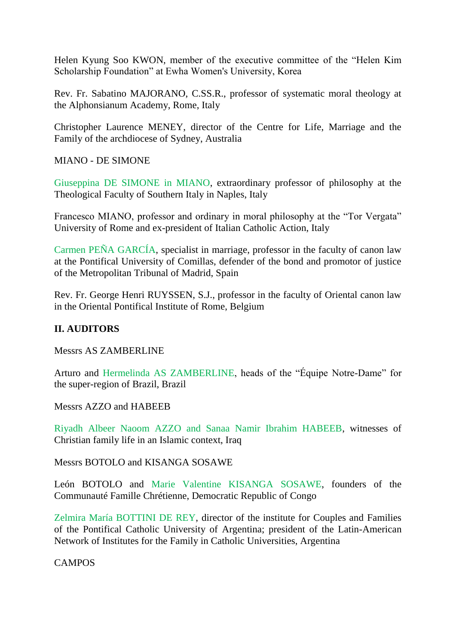Helen Kyung Soo KWON, member of the executive committee of the "Helen Kim Scholarship Foundation" at Ewha Women's University, Korea

Rev. Fr. Sabatino MAJORANO, C.SS.R., professor of systematic moral theology at the Alphonsianum Academy, Rome, Italy

Christopher Laurence MENEY, director of the Centre for Life, Marriage and the Family of the archdiocese of Sydney, Australia

MIANO - DE SIMONE

Giuseppina DE SIMONE in MIANO, extraordinary professor of philosophy at the Theological Faculty of Southern Italy in Naples, Italy

Francesco MIANO, professor and ordinary in moral philosophy at the "Tor Vergata" University of Rome and ex-president of Italian Catholic Action, Italy

Carmen PEÑA GARCÍA, specialist in marriage, professor in the faculty of canon law at the Pontifical University of Comillas, defender of the bond and promotor of justice of the Metropolitan Tribunal of Madrid, Spain

Rev. Fr. George Henri RUYSSEN, S.J., professor in the faculty of Oriental canon law in the Oriental Pontifical Institute of Rome, Belgium

# **II. AUDITORS**

Messrs AS ZAMBERLINE

Arturo and Hermelinda AS ZAMBERLINE, heads of the "Équipe Notre-Dame" for the super-region of Brazil, Brazil

Messrs AZZO and HABEEB

Riyadh Albeer Naoom AZZO and Sanaa Namir Ibrahim HABEEB, witnesses of Christian family life in an Islamic context, Iraq

Messrs BOTOLO and KISANGA SOSAWE

León BOTOLO and Marie Valentine KISANGA SOSAWE, founders of the Communauté Famille Chrétienne, Democratic Republic of Congo

Zelmira María BOTTINI DE REY, director of the institute for Couples and Families of the Pontifical Catholic University of Argentina; president of the Latin-American Network of Institutes for the Family in Catholic Universities, Argentina

**CAMPOS**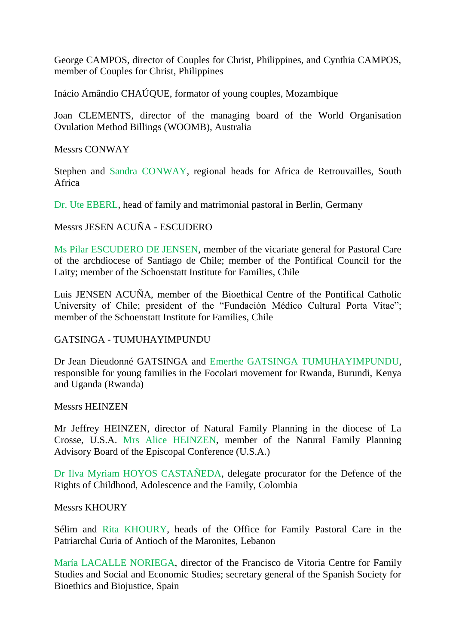George CAMPOS, director of Couples for Christ, Philippines, and Cynthia CAMPOS, member of Couples for Christ, Philippines

Inácio Amândio CHAÚQUE, formator of young couples, Mozambique

Joan CLEMENTS, director of the managing board of the World Organisation Ovulation Method Billings (WOOMB), Australia

Messrs CONWAY

Stephen and Sandra CONWAY, regional heads for Africa de Retrouvailles, South Africa

Dr. Ute EBERL, head of family and matrimonial pastoral in Berlin, Germany

Messrs JESEN ACUÑA - ESCUDERO

Ms Pilar ESCUDERO DE JENSEN, member of the vicariate general for Pastoral Care of the archdiocese of Santiago de Chile; member of the Pontifical Council for the Laity; member of the Schoenstatt Institute for Families, Chile

Luis JENSEN ACUÑA, member of the Bioethical Centre of the Pontifical Catholic University of Chile; president of the "Fundación Médico Cultural Porta Vitae"; member of the Schoenstatt Institute for Families, Chile

#### GATSINGA - TUMUHAYIMPUNDU

Dr Jean Dieudonné GATSINGA and Emerthe GATSINGA TUMUHAYIMPUNDU, responsible for young families in the Focolari movement for Rwanda, Burundi, Kenya and Uganda (Rwanda)

Messrs HEINZEN

Mr Jeffrey HEINZEN, director of Natural Family Planning in the diocese of La Crosse, U.S.A. Mrs Alice HEINZEN, member of the Natural Family Planning Advisory Board of the Episcopal Conference (U.S.A.)

Dr Ilva Myriam HOYOS CASTAÑEDA, delegate procurator for the Defence of the Rights of Childhood, Adolescence and the Family, Colombia

#### Messrs KHOURY

Sélim and Rita KHOURY, heads of the Office for Family Pastoral Care in the Patriarchal Curia of Antioch of the Maronites, Lebanon

María LACALLE NORIEGA, director of the Francisco de Vitoria Centre for Family Studies and Social and Economic Studies; secretary general of the Spanish Society for Bioethics and Biojustice, Spain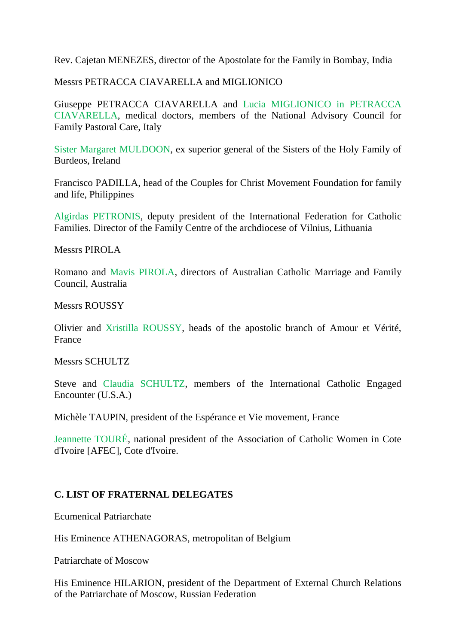Rev. Cajetan MENEZES, director of the Apostolate for the Family in Bombay, India

Messrs PETRACCA CIAVARELLA and MIGLIONICO

Giuseppe PETRACCA CIAVARELLA and Lucia MIGLIONICO in PETRACCA CIAVARELLA, medical doctors, members of the National Advisory Council for Family Pastoral Care, Italy

Sister Margaret MULDOON, ex superior general of the Sisters of the Holy Family of Burdeos, Ireland

Francisco PADILLA, head of the Couples for Christ Movement Foundation for family and life, Philippines

Algirdas PETRONIS, deputy president of the International Federation for Catholic Families. Director of the Family Centre of the archdiocese of Vilnius, Lithuania

Messrs PIROLA

Romano and Mavis PIROLA, directors of Australian Catholic Marriage and Family Council, Australia

Messrs ROUSSY

Olivier and Xristilla ROUSSY, heads of the apostolic branch of Amour et Vérité, France

Messrs SCHULTZ

Steve and Claudia SCHULTZ, members of the International Catholic Engaged Encounter (U.S.A.)

Michèle TAUPIN, president of the Espérance et Vie movement, France

Jeannette TOURÉ, national president of the Association of Catholic Women in Cote d'Ivoire [AFEC], Cote d'Ivoire.

### **C. LIST OF FRATERNAL DELEGATES**

Ecumenical Patriarchate

His Eminence ATHENAGORAS, metropolitan of Belgium

Patriarchate of Moscow

His Eminence HILARION, president of the Department of External Church Relations of the Patriarchate of Moscow, Russian Federation